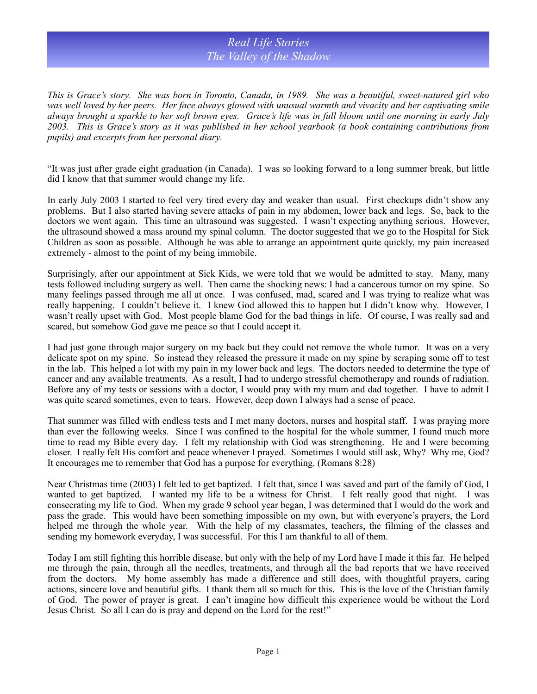## *Real Life Stories The Valley of the Shadow*

*This is Grace's story. She was born in Toronto, Canada, in 1989. She was a beautiful, sweet-natured girl who*  was well loved by her peers. Her face always glowed with unusual warmth and vivacity and her captivating smile *always brought a sparkle to her soft brown eyes. Grace's life was in full bloom until one morning in early July 2003. This is Grace's story as it was published in her school yearbook (a book containing contributions from pupils) and excerpts from her personal diary.*

"It was just after grade eight graduation (in Canada). I was so looking forward to a long summer break, but little did I know that that summer would change my life.

In early July 2003 I started to feel very tired every day and weaker than usual. First checkups didn't show any problems. But I also started having severe attacks of pain in my abdomen, lower back and legs. So, back to the doctors we went again. This time an ultrasound was suggested. I wasn't expecting anything serious. However, the ultrasound showed a mass around my spinal column. The doctor suggested that we go to the Hospital for Sick Children as soon as possible. Although he was able to arrange an appointment quite quickly, my pain increased extremely - almost to the point of my being immobile.

Surprisingly, after our appointment at Sick Kids, we were told that we would be admitted to stay. Many, many tests followed including surgery as well. Then came the shocking news: I had a cancerous tumor on my spine. So many feelings passed through me all at once. I was confused, mad, scared and I was trying to realize what was really happening. I couldn't believe it. I knew God allowed this to happen but I didn't know why. However, I wasn't really upset with God. Most people blame God for the bad things in life. Of course, I was really sad and scared, but somehow God gave me peace so that I could accept it.

I had just gone through major surgery on my back but they could not remove the whole tumor. It was on a very delicate spot on my spine. So instead they released the pressure it made on my spine by scraping some off to test in the lab. This helped a lot with my pain in my lower back and legs. The doctors needed to determine the type of cancer and any available treatments. As a result, I had to undergo stressful chemotherapy and rounds of radiation. Before any of my tests or sessions with a doctor, I would pray with my mum and dad together. I have to admit I was quite scared sometimes, even to tears. However, deep down I always had a sense of peace.

That summer was filled with endless tests and I met many doctors, nurses and hospital staff. I was praying more than ever the following weeks. Since I was confined to the hospital for the whole summer, I found much more time to read my Bible every day. I felt my relationship with God was strengthening. He and I were becoming closer. I really felt His comfort and peace whenever I prayed. Sometimes I would still ask, Why? Why me, God? It encourages me to remember that God has a purpose for everything. (Romans 8:28)

Near Christmas time (2003) I felt led to get baptized. I felt that, since I was saved and part of the family of God, I wanted to get baptized. I wanted my life to be a witness for Christ. I felt really good that night. I was consecrating my life to God. When my grade 9 school year began, I was determined that I would do the work and pass the grade. This would have been something impossible on my own, but with everyone's prayers, the Lord helped me through the whole year. With the help of my classmates, teachers, the filming of the classes and sending my homework everyday, I was successful. For this I am thankful to all of them.

Today I am still fighting this horrible disease, but only with the help of my Lord have I made it this far. He helped me through the pain, through all the needles, treatments, and through all the bad reports that we have received from the doctors. My home assembly has made a difference and still does, with thoughtful prayers, caring actions, sincere love and beautiful gifts. I thank them all so much for this. This is the love of the Christian family of God. The power of prayer is great. I can't imagine how difficult this experience would be without the Lord Jesus Christ. So all I can do is pray and depend on the Lord for the rest!"